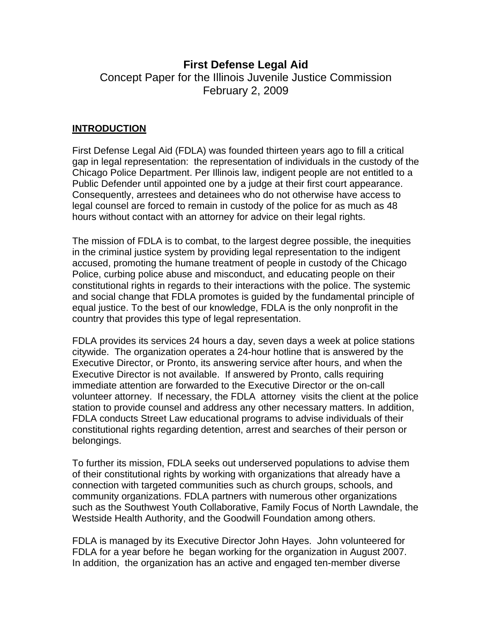# **First Defense Legal Aid**

Concept Paper for the Illinois Juvenile Justice Commission February 2, 2009

# **INTRODUCTION**

First Defense Legal Aid (FDLA) was founded thirteen years ago to fill a critical gap in legal representation: the representation of individuals in the custody of the Chicago Police Department. Per Illinois law, indigent people are not entitled to a Public Defender until appointed one by a judge at their first court appearance. Consequently, arrestees and detainees who do not otherwise have access to legal counsel are forced to remain in custody of the police for as much as 48 hours without contact with an attorney for advice on their legal rights.

The mission of FDLA is to combat, to the largest degree possible, the inequities in the criminal justice system by providing legal representation to the indigent accused, promoting the humane treatment of people in custody of the Chicago Police, curbing police abuse and misconduct, and educating people on their constitutional rights in regards to their interactions with the police. The systemic and social change that FDLA promotes is guided by the fundamental principle of equal justice. To the best of our knowledge, FDLA is the only nonprofit in the country that provides this type of legal representation.

FDLA provides its services 24 hours a day, seven days a week at police stations citywide. The organization operates a 24-hour hotline that is answered by the Executive Director, or Pronto, its answering service after hours, and when the Executive Director is not available. If answered by Pronto, calls requiring immediate attention are forwarded to the Executive Director or the on-call volunteer attorney. If necessary, the FDLA attorney visits the client at the police station to provide counsel and address any other necessary matters. In addition, FDLA conducts Street Law educational programs to advise individuals of their constitutional rights regarding detention, arrest and searches of their person or belongings.

To further its mission, FDLA seeks out underserved populations to advise them of their constitutional rights by working with organizations that already have a connection with targeted communities such as church groups, schools, and community organizations. FDLA partners with numerous other organizations such as the Southwest Youth Collaborative, Family Focus of North Lawndale, the Westside Health Authority, and the Goodwill Foundation among others.

FDLA is managed by its Executive Director John Hayes. John volunteered for FDLA for a year before he began working for the organization in August 2007. In addition, the organization has an active and engaged ten-member diverse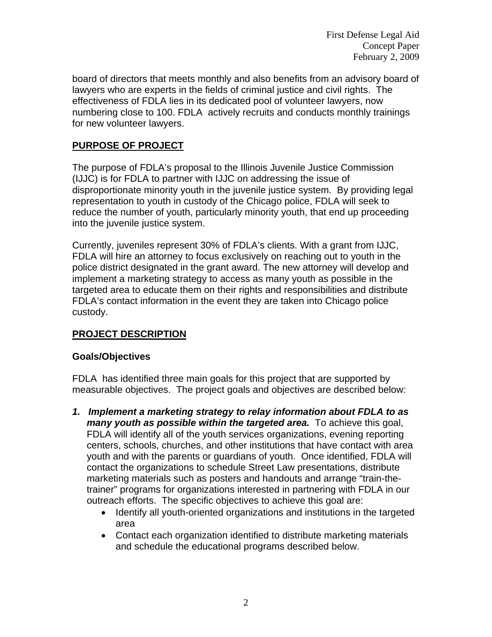First Defense Legal Aid Concept Paper February 2, 2009

board of directors that meets monthly and also benefits from an advisory board of lawyers who are experts in the fields of criminal justice and civil rights. The effectiveness of FDLA lies in its dedicated pool of volunteer lawyers, now numbering close to 100. FDLA actively recruits and conducts monthly trainings for new volunteer lawyers.

# **PURPOSE OF PROJECT**

The purpose of FDLA's proposal to the Illinois Juvenile Justice Commission (IJJC) is for FDLA to partner with IJJC on addressing the issue of disproportionate minority youth in the juvenile justice system. By providing legal representation to youth in custody of the Chicago police, FDLA will seek to reduce the number of youth, particularly minority youth, that end up proceeding into the juvenile justice system.

Currently, juveniles represent 30% of FDLA's clients. With a grant from IJJC, FDLA will hire an attorney to focus exclusively on reaching out to youth in the police district designated in the grant award. The new attorney will develop and implement a marketing strategy to access as many youth as possible in the targeted area to educate them on their rights and responsibilities and distribute FDLA's contact information in the event they are taken into Chicago police custody.

# **PROJECT DESCRIPTION**

# **Goals/Objectives**

FDLA has identified three main goals for this project that are supported by measurable objectives. The project goals and objectives are described below:

- *1.**Implement a marketing strategy to relay information about FDLA to as many youth as possible within the targeted area.* To achieve this goal, FDLA will identify all of the youth services organizations, evening reporting centers, schools, churches, and other institutions that have contact with area youth and with the parents or guardians of youth. Once identified, FDLA will contact the organizations to schedule Street Law presentations, distribute marketing materials such as posters and handouts and arrange "train-thetrainer" programs for organizations interested in partnering with FDLA in our outreach efforts. The specific objectives to achieve this goal are:
	- Identify all youth-oriented organizations and institutions in the targeted area
	- Contact each organization identified to distribute marketing materials and schedule the educational programs described below.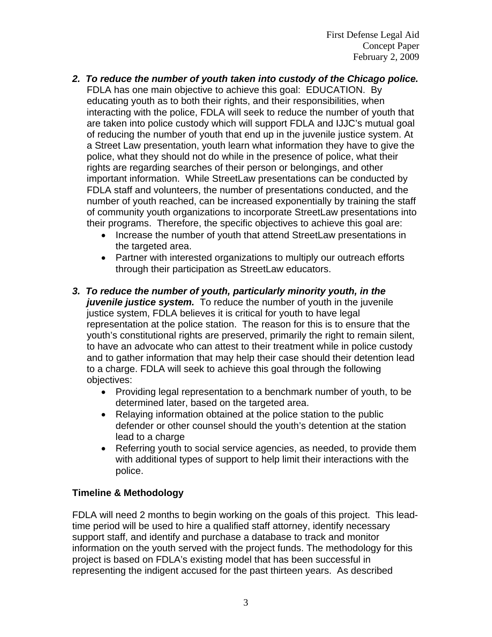First Defense Legal Aid Concept Paper February 2, 2009

- *2. To reduce the number of youth taken into custody of the Chicago police.* FDLA has one main objective to achieve this goal: EDUCATION. By educating youth as to both their rights, and their responsibilities, when interacting with the police, FDLA will seek to reduce the number of youth that are taken into police custody which will support FDLA and IJJC's mutual goal of reducing the number of youth that end up in the juvenile justice system. At a Street Law presentation, youth learn what information they have to give the police, what they should not do while in the presence of police, what their rights are regarding searches of their person or belongings, and other important information. While StreetLaw presentations can be conducted by FDLA staff and volunteers, the number of presentations conducted, and the number of youth reached, can be increased exponentially by training the staff of community youth organizations to incorporate StreetLaw presentations into their programs. Therefore, the specific objectives to achieve this goal are:
	- Increase the number of youth that attend StreetLaw presentations in the targeted area.
	- Partner with interested organizations to multiply our outreach efforts through their participation as StreetLaw educators.
- *3. To reduce the number of youth, particularly minority youth, in the juvenile justice system.* To reduce the number of youth in the juvenile justice system, FDLA believes it is critical for youth to have legal representation at the police station. The reason for this is to ensure that the youth's constitutional rights are preserved, primarily the right to remain silent, to have an advocate who can attest to their treatment while in police custody and to gather information that may help their case should their detention lead to a charge. FDLA will seek to achieve this goal through the following objectives:
	- Providing legal representation to a benchmark number of youth, to be determined later, based on the targeted area.
	- Relaying information obtained at the police station to the public defender or other counsel should the youth's detention at the station lead to a charge
	- Referring youth to social service agencies, as needed, to provide them with additional types of support to help limit their interactions with the police.

# **Timeline & Methodology**

FDLA will need 2 months to begin working on the goals of this project. This leadtime period will be used to hire a qualified staff attorney, identify necessary support staff, and identify and purchase a database to track and monitor information on the youth served with the project funds. The methodology for this project is based on FDLA's existing model that has been successful in representing the indigent accused for the past thirteen years. As described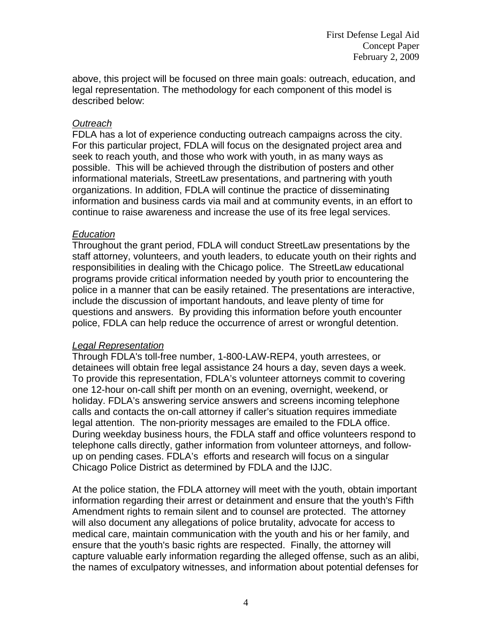above, this project will be focused on three main goals: outreach, education, and legal representation. The methodology for each component of this model is described below:

## *Outreach*

FDLA has a lot of experience conducting outreach campaigns across the city. For this particular project, FDLA will focus on the designated project area and seek to reach youth, and those who work with youth, in as many ways as possible. This will be achieved through the distribution of posters and other informational materials, StreetLaw presentations, and partnering with youth organizations. In addition, FDLA will continue the practice of disseminating information and business cards via mail and at community events, in an effort to continue to raise awareness and increase the use of its free legal services.

## *Education*

Throughout the grant period, FDLA will conduct StreetLaw presentations by the staff attorney, volunteers, and youth leaders, to educate youth on their rights and responsibilities in dealing with the Chicago police. The StreetLaw educational programs provide critical information needed by youth prior to encountering the police in a manner that can be easily retained. The presentations are interactive, include the discussion of important handouts, and leave plenty of time for questions and answers. By providing this information before youth encounter police, FDLA can help reduce the occurrence of arrest or wrongful detention.

## *Legal Representation*

Through FDLA's toll-free number, 1-800-LAW-REP4, youth arrestees, or detainees will obtain free legal assistance 24 hours a day, seven days a week. To provide this representation, FDLA's volunteer attorneys commit to covering one 12-hour on-call shift per month on an evening, overnight, weekend, or holiday. FDLA's answering service answers and screens incoming telephone calls and contacts the on-call attorney if caller's situation requires immediate legal attention. The non-priority messages are emailed to the FDLA office. During weekday business hours, the FDLA staff and office volunteers respond to telephone calls directly, gather information from volunteer attorneys, and followup on pending cases. FDLA's efforts and research will focus on a singular Chicago Police District as determined by FDLA and the IJJC.

At the police station, the FDLA attorney will meet with the youth, obtain important information regarding their arrest or detainment and ensure that the youth's Fifth Amendment rights to remain silent and to counsel are protected. The attorney will also document any allegations of police brutality, advocate for access to medical care, maintain communication with the youth and his or her family, and ensure that the youth's basic rights are respected. Finally, the attorney will capture valuable early information regarding the alleged offense, such as an alibi, the names of exculpatory witnesses, and information about potential defenses for